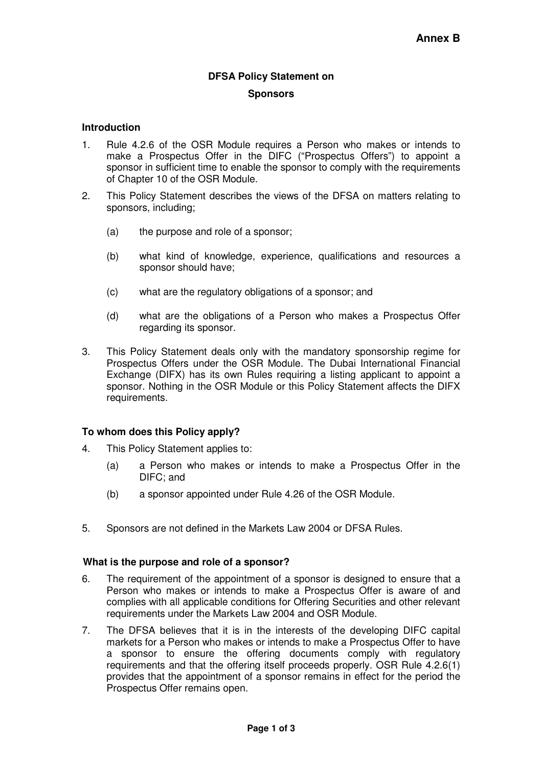# **DFSA Policy Statement on Sponsors**

#### **Introduction**

- 1. Rule 4.2.6 of the OSR Module requires a Person who makes or intends to make a Prospectus Offer in the DIFC ("Prospectus Offers") to appoint a sponsor in sufficient time to enable the sponsor to comply with the requirements of Chapter 10 of the OSR Module.
- 2. This Policy Statement describes the views of the DFSA on matters relating to sponsors, including;
	- (a) the purpose and role of a sponsor;
	- (b) what kind of knowledge, experience, qualifications and resources a sponsor should have;
	- (c) what are the regulatory obligations of a sponsor; and
	- (d) what are the obligations of a Person who makes a Prospectus Offer regarding its sponsor.
- 3. This Policy Statement deals only with the mandatory sponsorship regime for Prospectus Offers under the OSR Module. The Dubai International Financial Exchange (DIFX) has its own Rules requiring a listing applicant to appoint a sponsor. Nothing in the OSR Module or this Policy Statement affects the DIFX requirements.

# **To whom does this Policy apply?**

- 4. This Policy Statement applies to:
	- (a) a Person who makes or intends to make a Prospectus Offer in the DIFC; and
	- (b) a sponsor appointed under Rule 4.26 of the OSR Module.
- 5. Sponsors are not defined in the Markets Law 2004 or DFSA Rules.

#### **What is the purpose and role of a sponsor?**

- 6. The requirement of the appointment of a sponsor is designed to ensure that a Person who makes or intends to make a Prospectus Offer is aware of and complies with all applicable conditions for Offering Securities and other relevant requirements under the Markets Law 2004 and OSR Module.
- 7. The DFSA believes that it is in the interests of the developing DIFC capital markets for a Person who makes or intends to make a Prospectus Offer to have a sponsor to ensure the offering documents comply with regulatory requirements and that the offering itself proceeds properly. OSR Rule 4.2.6(1) provides that the appointment of a sponsor remains in effect for the period the Prospectus Offer remains open.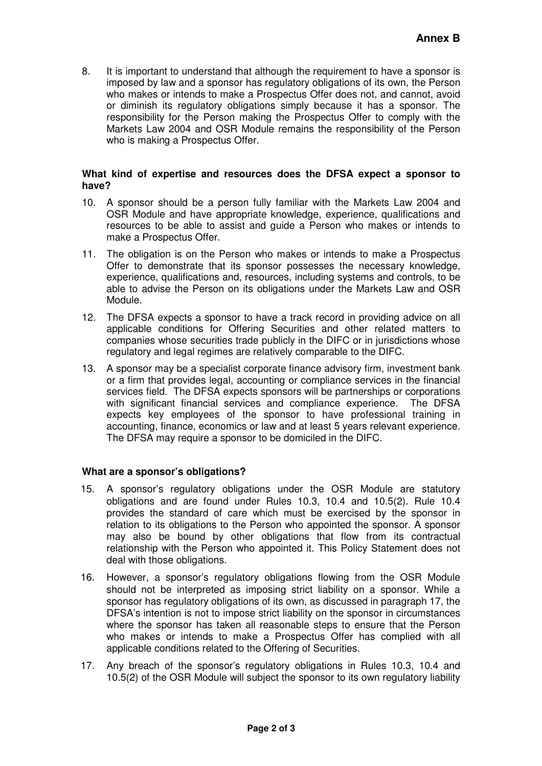8. It is important to understand that although the requirement to have a sponsor is imposed by law and a sponsor has regulatory obligations of its own, the Person who makes or intends to make a Prospectus Offer does not, and cannot, avoid or diminish its regulatory obligations simply because it has a sponsor. The responsibility for the Person making the Prospectus Offer to comply with the Markets Law 2004 and OSR Module remains the responsibility of the Person who is making a Prospectus Offer.

### **What kind of expertise and resources does the DFSA expect a sponsor to have?**

- 10. A sponsor should be a person fully familiar with the Markets Law 2004 and OSR Module and have appropriate knowledge, experience, qualifications and resources to be able to assist and guide a Person who makes or intends to make a Prospectus Offer.
- 11. The obligation is on the Person who makes or intends to make a Prospectus Offer to demonstrate that its sponsor possesses the necessary knowledge, experience, qualifications and, resources, including systems and controls, to be able to advise the Person on its obligations under the Markets Law and OSR Module.
- 12. The DFSA expects a sponsor to have a track record in providing advice on all applicable conditions for Offering Securities and other related matters to companies whose securities trade publicly in the DIFC or in jurisdictions whose regulatory and legal regimes are relatively comparable to the DIFC.
- 13. A sponsor may be a specialist corporate finance advisory firm, investment bank or a firm that provides legal, accounting or compliance services in the financial services field. The DFSA expects sponsors will be partnerships or corporations with significant financial services and compliance experience. The DFSA expects key employees of the sponsor to have professional training in accounting, finance, economics or law and at least 5 years relevant experience. The DFSA may require a sponsor to be domiciled in the DIFC.

# **What are a sponsor's obligations?**

- 15. A sponsor's regulatory obligations under the OSR Module are statutory obligations and are found under Rules 10.3, 10.4 and 10.5(2). Rule 10.4 provides the standard of care which must be exercised by the sponsor in relation to its obligations to the Person who appointed the sponsor. A sponsor may also be bound by other obligations that flow from its contractual relationship with the Person who appointed it. This Policy Statement does not deal with those obligations.
- 16. However, a sponsor's regulatory obligations flowing from the OSR Module should not be interpreted as imposing strict liability on a sponsor. While a sponsor has regulatory obligations of its own, as discussed in paragraph 17, the DFSA's intention is not to impose strict liability on the sponsor in circumstances where the sponsor has taken all reasonable steps to ensure that the Person who makes or intends to make a Prospectus Offer has complied with all applicable conditions related to the Offering of Securities.
- 17. Any breach of the sponsor's regulatory obligations in Rules 10.3, 10.4 and 10.5(2) of the OSR Module will subject the sponsor to its own regulatory liability